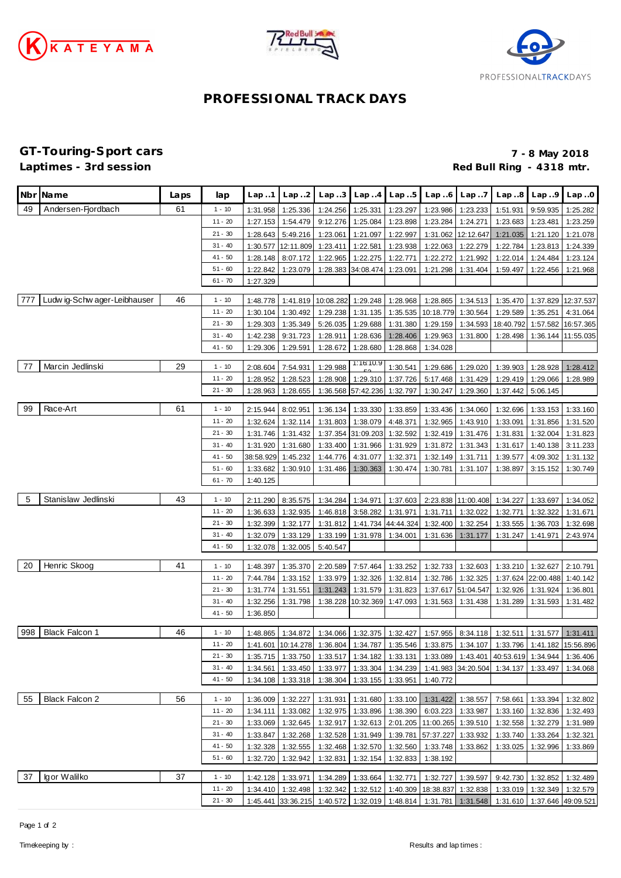





## **PROFESSIONAL TRACK DAYS**

## **GT-Touring-Sport cars 7 - 8 May 2018** Red Bull Ring - 4318 mtr.

|     | Nbr Name                     | Laps | lap                    | Lap.1     | Lap. .2                                       | Lap.3     | Lap.4                      | Lap5              | Lap.6                                | Lap.7              | Lap.8                                                                                      | Lap.9                      | Lap.0              |
|-----|------------------------------|------|------------------------|-----------|-----------------------------------------------|-----------|----------------------------|-------------------|--------------------------------------|--------------------|--------------------------------------------------------------------------------------------|----------------------------|--------------------|
| 49  | Andersen-Fjordbach           | 61   | $1 - 10$               | 1:31.958  | 1:25.336                                      | 1:24.256  | 1:25.331                   | 1:23.297          | 1:23.986                             | 1:23.233           | 1:51.931                                                                                   | 9:59.935                   | 1:25.282           |
|     |                              |      | $11 - 20$              | 1:27.153  | 1:54.479                                      | 9:12.276  | 1:25.084                   | 1:23.898          | 1:23.284                             | 1:24.271           | 1:23.683                                                                                   | 1:23.481                   | 1:23.259           |
|     |                              |      | $21 - 30$              | 1:28.643  | 5:49.216                                      | 1:23.061  | 1:21.097                   | 1:22.997          | 1:31.062                             | 12:12.647          | 1:21.035                                                                                   | 1:21.120                   | 1:21.078           |
|     |                              |      | $31 - 40$              | 1:30.577  | 12:11.809                                     | 1:23.411  | 1:22.581                   | 1:23.938          | 1:22.063                             | 1:22.279           | 1:22.784                                                                                   | 1:23.813                   | 1:24.339           |
|     |                              |      | $41 - 50$              | 1:28.148  | 8:07.172                                      | 1:22.965  | 1:22.275                   | 1:22.771          | 1:22.272                             | 1:21.992           | 1:22.014                                                                                   | 1:24.484                   | 1:23.124           |
|     |                              |      | $51 - 60$              | 1:22.842  | 1:23.079                                      | 1:28.383  | 34:08.474                  | 1:23.091          | 1:21.298                             | 1:31.404           | 1:59.497                                                                                   | 1:22.456                   | 1:21.968           |
|     |                              |      | $61 - 70$              | 1:27.329  |                                               |           |                            |                   |                                      |                    |                                                                                            |                            |                    |
|     |                              |      |                        |           |                                               |           |                            |                   |                                      |                    |                                                                                            |                            |                    |
| 777 | Ludw ig-Schw ager-Leibhauser | 46   | $1 - 10$               | 1:48.778  | 1:41.819                                      | 10:08.282 | 1:29.248                   | 1:28.968          | 1:28.865                             | 1:34.513           | 1:35.470                                                                                   |                            | 1:37.829 12:37.537 |
|     |                              |      | $11 - 20$              | 1:30.104  | 1:30.492                                      | 1:29.238  | 1:31.135                   | 1:35.535          | 10:18.779                            | 1:30.564           | 1:29.589                                                                                   | 1:35.251                   | 4:31.064           |
|     |                              |      | $21 - 30$              | 1:29.303  | 1:35.349                                      | 5:26.035  | 1:29.688                   | 1:31.380          | 1:29.159                             |                    | 1:34.593 18:40.792                                                                         |                            | 1:57.582 16:57.365 |
|     |                              |      | $31 - 40$              | 1:42.238  | 9:31.723                                      | 1:28.911  | 1:28.636                   | 1:28.406          | 1:29.963                             | 1:31.800           | 1:28.498                                                                                   |                            | 1:36.144 11:55.035 |
|     |                              |      | $41 - 50$              | 1:29.306  | 1:29.591                                      | 1:28.672  | 1:28.680                   | 1:28.868          | 1:34.028                             |                    |                                                                                            |                            |                    |
| 77  | Marcin Jedlinski             | 29   | $1 - 10$               | 2:08.604  | 7:54.931                                      | 1:29.988  | 1:16:10.9                  | 1:30.541          | 1:29.686                             | 1:29.020           | 1:39.903                                                                                   | 1:28.928                   | 1:28.412           |
|     |                              |      | $11 - 20$              | 1:28.952  | 1:28.523                                      | 1:28.908  | 1:29.310                   | 1:37.726          | 5:17.468                             | 1:31.429           | 1:29.419                                                                                   | 1:29.066                   | 1:28.989           |
|     |                              |      | $21 - 30$              | 1:28.963  | 1:28.655                                      |           | 1:36.568 57:42.236         | 1:32.797          | 1:30.247                             | 1:29.360           | 1:37.442                                                                                   | 5:06.145                   |                    |
|     |                              |      |                        |           |                                               |           |                            |                   |                                      |                    |                                                                                            |                            |                    |
| 99  | Race-Art                     | 61   | $1 - 10$               | 2:15.944  | 8:02.951                                      | 1:36.134  | 1:33.330                   | 1:33.859          | 1:33.436                             | 1:34.060           | 1:32.696                                                                                   | 1:33.153                   | 1:33.160           |
|     |                              |      | $11 - 20$              | 1:32.624  | 1:32.114                                      | 1:31.803  | 1:38.079                   | 4:48.371          | 1:32.965                             | 1:43.910           | 1:33.091                                                                                   | 1:31.856                   | 1:31.520           |
|     |                              |      | $21 - 30$              | 1:31.746  | 1:31.432                                      | 1:37.354  | 31:09.203                  | 1:32.592          | 1:32.419                             | 1:31.476           | 1:31.831                                                                                   | 1:32.004                   | 1:31.823           |
|     |                              |      | $31 - 40$              | 1:31.920  | 1:31.680                                      | 1:33.400  | 1:31.966                   | 1:31.929          | 1:31.872                             | 1:31.343           | 1:31.617                                                                                   | 1:40.138                   | 3:11.233           |
|     |                              |      | $41 - 50$              | 38:58.929 | 1:45.232                                      | 1:44.776  | 4:31.077                   | 1:32.371          | 1:32.149                             | 1:31.711           | 1:39.577                                                                                   | 4:09.302                   | 1:31.132           |
|     |                              |      | $51 - 60$              | 1:33.682  | 1:30.910                                      | 1:31.486  | 1:30.363                   | 1:30.474          | 1:30.781                             | 1:31.107           | 1:38.897                                                                                   | 3:15.152                   | 1:30.749           |
|     |                              |      | $61 - 70$              | 1:40.125  |                                               |           |                            |                   |                                      |                    |                                                                                            |                            |                    |
|     |                              |      |                        |           |                                               |           |                            |                   |                                      |                    |                                                                                            |                            |                    |
| 5   | Stanislaw Jedlinski          | 43   | $1 - 10$               | 2:11.290  | 8:35.575                                      | 1:34.284  | 1:34.971                   | 1:37.603          |                                      | 2:23.838 11:00.408 | 1:34.227                                                                                   | 1:33.697                   | 1:34.052           |
|     |                              |      | $11 - 20$              | 1:36.633  | 1:32.935                                      | 1:46.818  | 3:58.282                   | 1:31.971          | 1:31.711                             | 1:32.022           | 1:32.771                                                                                   | 1:32.322                   | 1:31.671           |
|     |                              |      | $21 - 30$              | 1:32.399  | 1:32.177                                      | 1:31.812  | 1:41.734                   | 44:44.324         | 1:32.400                             | 1:32.254           | 1:33.555                                                                                   | 1:36.703                   | 1:32.698           |
|     |                              |      | $31 - 40$              | 1:32.079  | 1:33.129                                      | 1:33.199  | 1:31.978                   | 1:34.001          | 1:31.636                             | 1:31.177           | 1:31.247                                                                                   | 1:41.971                   | 2:43.974           |
|     |                              |      | 41 - 50                | 1:32.078  | 1:32.005                                      | 5:40.547  |                            |                   |                                      |                    |                                                                                            |                            |                    |
| 20  | Henric Skoog                 | 41   | $1 - 10$               | 1:48.397  | 1:35.370                                      | 2:20.589  | 7:57.464                   | 1:33.252          | 1:32.733                             | 1:32.603           | 1:33.210                                                                                   | 1:32.627                   | 2:10.791           |
|     |                              |      | $11 - 20$              | 7:44.784  | 1:33.152                                      | 1:33.979  | 1:32.326                   | 1:32.814          | 1:32.786                             | 1:32.325           | 1:37.624                                                                                   | 22:00.488                  | 1:40.142           |
|     |                              |      | $21 - 30$              | 1:31.774  | 1:31.551                                      | 1:31.243  | 1:31.579                   | 1:31.823          |                                      | 1:37.617 51:04.547 | 1:32.926                                                                                   | 1:31.924                   | 1:36.801           |
|     |                              |      | $31 - 40$              | 1:32.256  | 1:31.798                                      | 1:38.228  | 10:32.369                  | 1:47.093          | 1:31.563                             | 1:31.438           | 1:31.289                                                                                   | 1:31.593                   | 1:31.482           |
|     |                              |      | $41 - 50$              | 1:36.850  |                                               |           |                            |                   |                                      |                    |                                                                                            |                            |                    |
|     |                              |      |                        |           |                                               |           |                            |                   |                                      |                    |                                                                                            |                            |                    |
| 998 | <b>Black Falcon 1</b>        | 46   | $1 - 10$               | 1:48.865  | 1:34.872                                      | 1:34.066  | 1:32.375                   | 1:32.427          | 1:57.955                             | 8:34.118           | 1:32.511                                                                                   | 1:31.577                   | 1:31.411           |
|     |                              |      | $11 - 20$              |           | 1:41.601   10:14.278   1:36.804               |           | 1:34.787                   |                   |                                      |                    | 1:35.546   1:33.875   1:34.107   1:33.796   1:41.182   15:56.896                           |                            |                    |
|     |                              |      | $21 - 30$              |           |                                               |           |                            |                   |                                      |                    | 1:35.715 1:33.750 1:33.517 1:34.182 1:33.131 1:33.089 1:43.401 40:53.619 1:34.944 1:36.406 |                            |                    |
|     |                              |      | $31 - 40$              | 1:34.561  | 1:33.450                                      |           |                            |                   |                                      |                    | 1:33.977   1:33.304   1:34.239   1:41.983   34:20.504   1:34.137   1:33.497   1:34.068     |                            |                    |
|     |                              |      | $41 - 50$              |           | 1:34.108 1:33.318                             |           | 1:38.304 1:33.155 1:33.951 |                   | 1:40.772                             |                    |                                                                                            |                            |                    |
| 55  | <b>Black Falcon 2</b>        | 56   |                        |           |                                               |           |                            |                   |                                      |                    |                                                                                            |                            |                    |
|     |                              |      | $1 - 10$<br>$11 - 20$  | 1:36.009  | 1:32.227                                      | 1:31.931  |                            |                   | 1:31.680 1:33.100 1:31.422 1:38.557  |                    |                                                                                            | 7:58.661 1:33.394 1:32.802 |                    |
|     |                              |      |                        | 1:34.111  | 1:33.082                                      |           | 1:32.975   1:33.896        | 1:38.390          |                                      | 6:03.223 1:33.987  |                                                                                            | 1:33.160 1:32.836 1:32.493 |                    |
|     |                              |      | $21 - 30$<br>$31 - 40$ | 1:33.069  | 1:32.645                                      | 1:32.917  |                            |                   | 1:32.613 2:01.205 11:00.265 1:39.510 |                    |                                                                                            | 1:32.558 1:32.279          | 1:31.989           |
|     |                              |      |                        | 1:33.847  | 1:32.268                                      | 1:32.528  | 1:31.949 1:39.781          |                   | 57:37.227                            | 1:33.932           | 1:33.740                                                                                   | 1:33.264                   | 1:32.321           |
|     |                              |      | $41 - 50$<br>51 - 60   | 1:32.328  | 1:32.555                                      |           | 1:32.468 1:32.570 1:32.560 |                   | 1:33.748                             | 1:33.862           | 1:33.025                                                                                   | 1:32.996                   | 1:33.869           |
|     |                              |      |                        | 1:32.720  | 1:32.942                                      | 1:32.831  |                            | 1:32.154 1:32.833 | 1:38.192                             |                    |                                                                                            |                            |                    |
| 37  | Igor Walilko                 | 37   | $1 - 10$               |           | 1:42.128 1:33.971                             |           |                            |                   |                                      |                    | 1:34.289 1:33.664 1:32.771 1:32.727 1:39.597 9:42.730 1:32.852 1:32.489                    |                            |                    |
|     |                              |      | $11 - 20$              |           | 1:34.410 1:32.498                             |           |                            |                   |                                      |                    | 1:32.342   1:32.512   1:40.309   18:38.837   1:32.838   1:33.019   1:32.349   1:32.579     |                            |                    |
|     |                              |      | $21 - 30$              |           | 1:45.441 33:36.215 1:40.572 1:32.019 1:48.814 |           |                            |                   |                                      |                    | 1:31.781 1:31.548 1:31.610 1:37.646 49:09.521                                              |                            |                    |